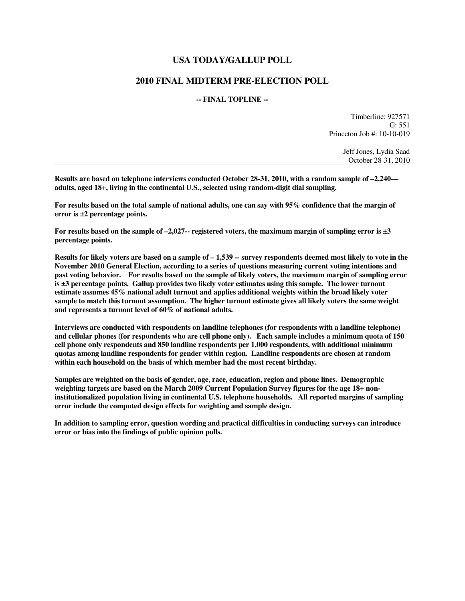## **USA TODAY/GALLUP POLL**

## **2010 FINAL MIDTERM PRE-ELECTION POLL**

## **-- FINAL TOPLINE --**

Timberline: 927571 G: 551 Princeton Job #: 10-10-019

> Jeff Jones, Lydia Saad October 28-31, 2010

**Results are based on telephone interviews conducted October 28-31, 2010, with a random sample of –2,240 adults, aged 18+, living in the continental U.S., selected using random-digit dial sampling.** 

**For results based on the total sample of national adults, one can say with 95% confidence that the margin of error is ±2 percentage points.** 

**For results based on the sample of –2,027-- registered voters, the maximum margin of sampling error is ±3 percentage points.** 

**Results for likely voters are based on a sample of – 1,539 -- survey respondents deemed most likely to vote in the November 2010 General Election, according to a series of questions measuring current voting intentions and past voting behavior. For results based on the sample of likely voters, the maximum margin of sampling error is ±3 percentage points. Gallup provides two likely voter estimates using this sample. The lower turnout estimate assumes 45% national adult turnout and applies additional weights within the broad likely voter sample to match this turnout assumption. The higher turnout estimate gives all likely voters the same weight and represents a turnout level of 60% of national adults.** 

**Interviews are conducted with respondents on landline telephones (for respondents with a landline telephone) and cellular phones (for respondents who are cell phone only). Each sample includes a minimum quota of 150 cell phone only respondents and 850 landline respondents per 1,000 respondents, with additional minimum quotas among landline respondents for gender within region. Landline respondents are chosen at random within each household on the basis of which member had the most recent birthday.** 

**Samples are weighted on the basis of gender, age, race, education, region and phone lines. Demographic weighting targets are based on the March 2009 Current Population Survey figures for the age 18+ noninstitutionalized population living in continental U.S. telephone households. All reported margins of sampling error include the computed design effects for weighting and sample design.** 

**In addition to sampling error, question wording and practical difficulties in conducting surveys can introduce error or bias into the findings of public opinion polls.**